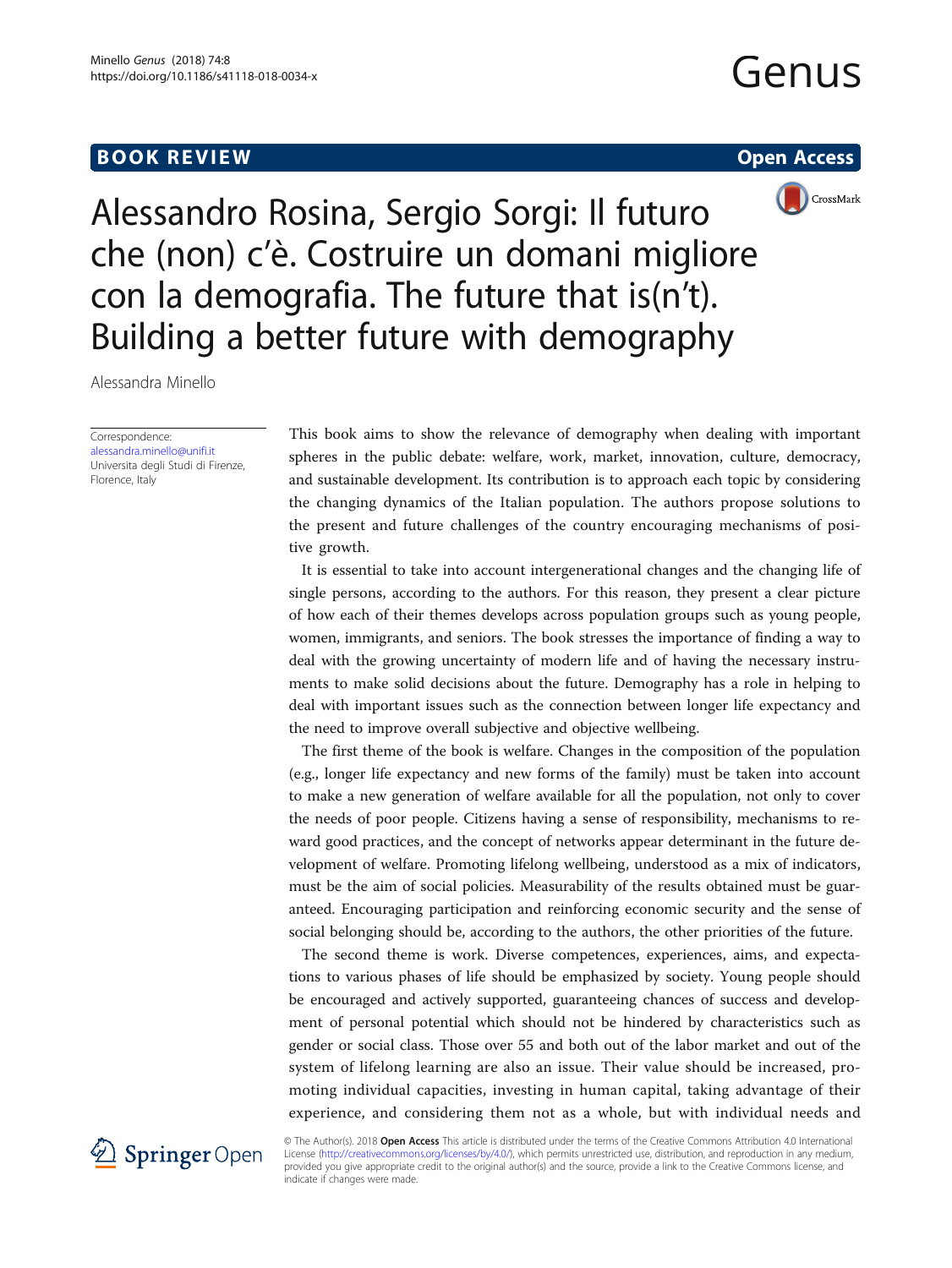# **BOOK REVIEW CONTROL** BOOK REVIEW

# Genus





Alessandro Rosina, Sergio Sorgi: Il futuro che (non) c'è. Costruire un domani migliore con la demografia. The future that is(n't). Building a better future with demography

Alessandra Minello

Correspondence: [alessandra.minello@unifi.it](mailto:alessandra.minello@unifi.it) Universita degli Studi di Firenze, Florence, Italy

This book aims to show the relevance of demography when dealing with important spheres in the public debate: welfare, work, market, innovation, culture, democracy, and sustainable development. Its contribution is to approach each topic by considering the changing dynamics of the Italian population. The authors propose solutions to the present and future challenges of the country encouraging mechanisms of positive growth.

It is essential to take into account intergenerational changes and the changing life of single persons, according to the authors. For this reason, they present a clear picture of how each of their themes develops across population groups such as young people, women, immigrants, and seniors. The book stresses the importance of finding a way to deal with the growing uncertainty of modern life and of having the necessary instruments to make solid decisions about the future. Demography has a role in helping to deal with important issues such as the connection between longer life expectancy and the need to improve overall subjective and objective wellbeing.

The first theme of the book is welfare. Changes in the composition of the population (e.g., longer life expectancy and new forms of the family) must be taken into account to make a new generation of welfare available for all the population, not only to cover the needs of poor people. Citizens having a sense of responsibility, mechanisms to reward good practices, and the concept of networks appear determinant in the future development of welfare. Promoting lifelong wellbeing, understood as a mix of indicators, must be the aim of social policies. Measurability of the results obtained must be guaranteed. Encouraging participation and reinforcing economic security and the sense of social belonging should be, according to the authors, the other priorities of the future.

The second theme is work. Diverse competences, experiences, aims, and expectations to various phases of life should be emphasized by society. Young people should be encouraged and actively supported, guaranteeing chances of success and development of personal potential which should not be hindered by characteristics such as gender or social class. Those over 55 and both out of the labor market and out of the system of lifelong learning are also an issue. Their value should be increased, promoting individual capacities, investing in human capital, taking advantage of their experience, and considering them not as a whole, but with individual needs and



© The Author(s). 2018 Open Access This article is distributed under the terms of the Creative Commons Attribution 4.0 International License [\(http://creativecommons.org/licenses/by/4.0/](http://creativecommons.org/licenses/by/4.0/)), which permits unrestricted use, distribution, and reproduction in any medium, provided you give appropriate credit to the original author(s) and the source, provide a link to the Creative Commons license, and indicate if changes were made.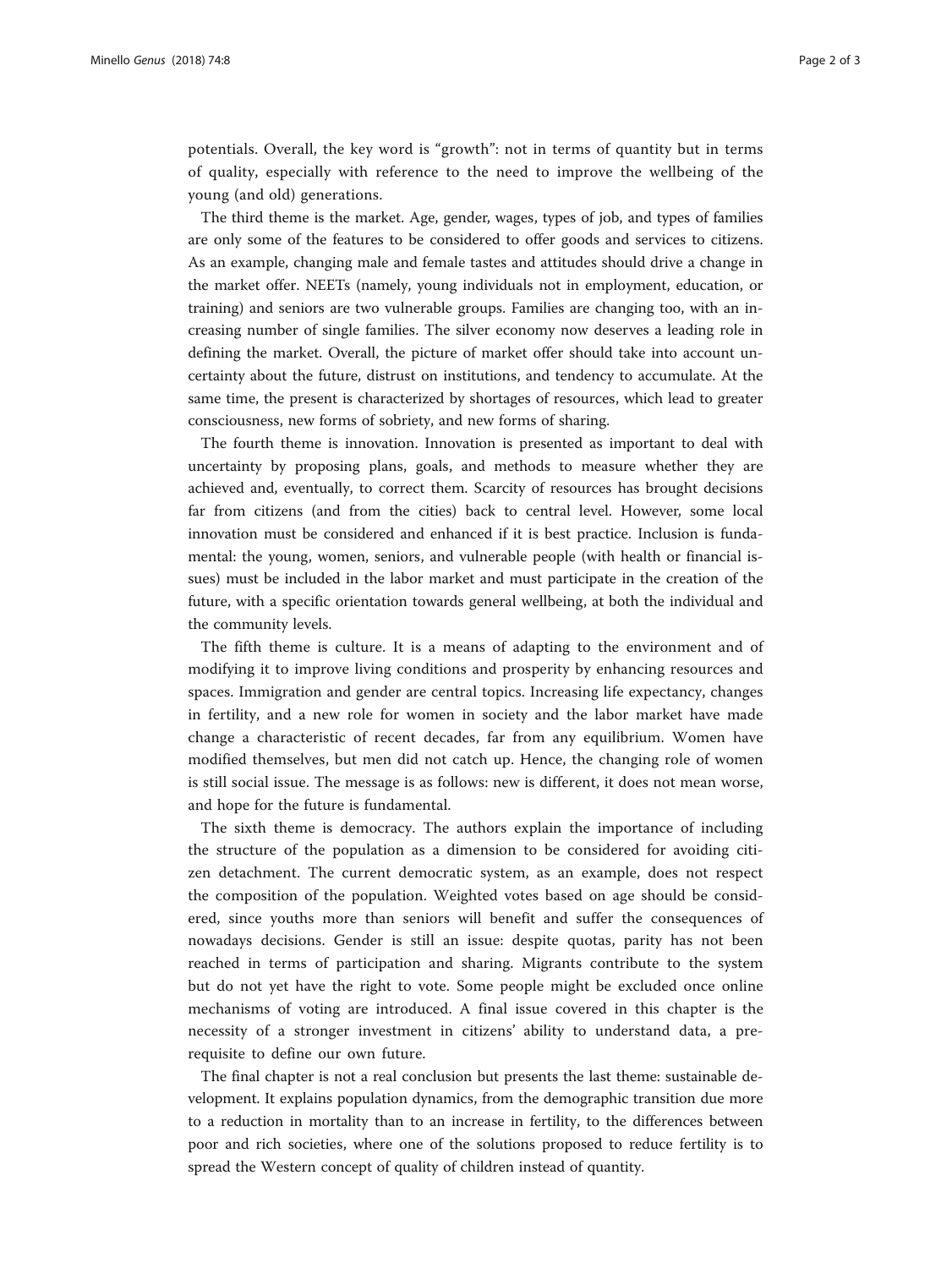potentials. Overall, the key word is "growth": not in terms of quantity but in terms of quality, especially with reference to the need to improve the wellbeing of the young (and old) generations.

The third theme is the market. Age, gender, wages, types of job, and types of families are only some of the features to be considered to offer goods and services to citizens. As an example, changing male and female tastes and attitudes should drive a change in the market offer. NEETs (namely, young individuals not in employment, education, or training) and seniors are two vulnerable groups. Families are changing too, with an increasing number of single families. The silver economy now deserves a leading role in defining the market. Overall, the picture of market offer should take into account uncertainty about the future, distrust on institutions, and tendency to accumulate. At the same time, the present is characterized by shortages of resources, which lead to greater consciousness, new forms of sobriety, and new forms of sharing.

The fourth theme is innovation. Innovation is presented as important to deal with uncertainty by proposing plans, goals, and methods to measure whether they are achieved and, eventually, to correct them. Scarcity of resources has brought decisions far from citizens (and from the cities) back to central level. However, some local innovation must be considered and enhanced if it is best practice. Inclusion is fundamental: the young, women, seniors, and vulnerable people (with health or financial issues) must be included in the labor market and must participate in the creation of the future, with a specific orientation towards general wellbeing, at both the individual and the community levels.

The fifth theme is culture. It is a means of adapting to the environment and of modifying it to improve living conditions and prosperity by enhancing resources and spaces. Immigration and gender are central topics. Increasing life expectancy, changes in fertility, and a new role for women in society and the labor market have made change a characteristic of recent decades, far from any equilibrium. Women have modified themselves, but men did not catch up. Hence, the changing role of women is still social issue. The message is as follows: new is different, it does not mean worse, and hope for the future is fundamental.

The sixth theme is democracy. The authors explain the importance of including the structure of the population as a dimension to be considered for avoiding citizen detachment. The current democratic system, as an example, does not respect the composition of the population. Weighted votes based on age should be considered, since youths more than seniors will benefit and suffer the consequences of nowadays decisions. Gender is still an issue: despite quotas, parity has not been reached in terms of participation and sharing. Migrants contribute to the system but do not yet have the right to vote. Some people might be excluded once online mechanisms of voting are introduced. A final issue covered in this chapter is the necessity of a stronger investment in citizens' ability to understand data, a prerequisite to define our own future.

The final chapter is not a real conclusion but presents the last theme: sustainable development. It explains population dynamics, from the demographic transition due more to a reduction in mortality than to an increase in fertility, to the differences between poor and rich societies, where one of the solutions proposed to reduce fertility is to spread the Western concept of quality of children instead of quantity.